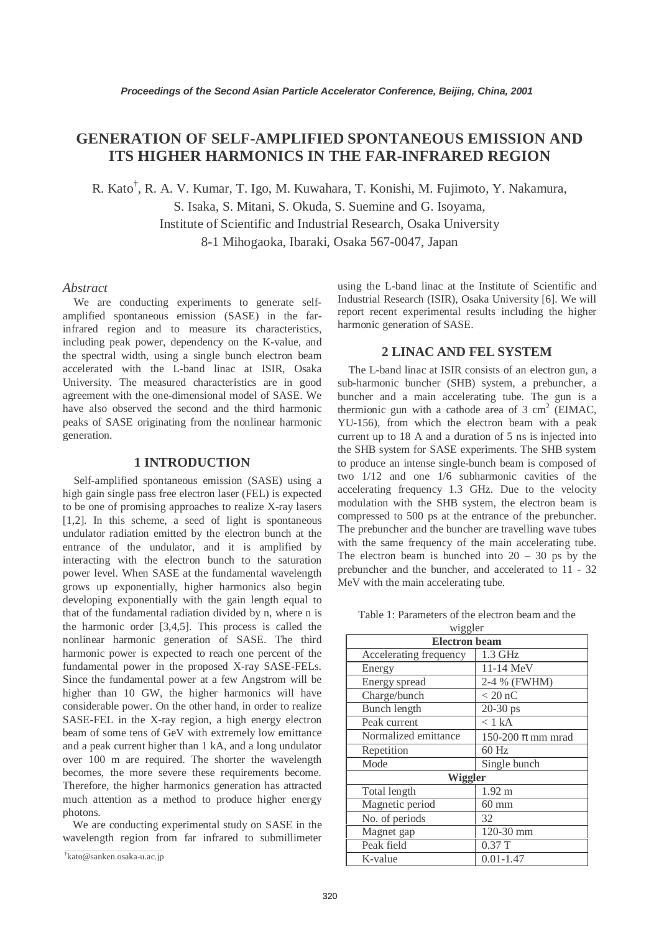# **GENERATION OF SELF-AMPLIFIED SPONTANEOUS EMISSION AND ITS HIGHER HARMONICS IN THE FAR-INFRARED REGION**

R. Kato<sup>†</sup>, R. A. V. Kumar, T. Igo, M. Kuwahara, T. Konishi, M. Fujimoto, Y. Nakamura, S. Isaka, S. Mitani, S. Okuda, S. Suemine and G. Isoyama, Institute of Scientific and Industrial Research, Osaka University 8-1 Mihogaoka, Ibaraki, Osaka 567-0047, Japan

### *Abstract*

We are conducting experiments to generate selfamplified spontaneous emission (SASE) in the farinfrared region and to measure its characteristics, including peak power, dependency on the K-value, and the spectral width, using a single bunch electron beam accelerated with the L-band linac at ISIR, Osaka University. The measured characteristics are in good agreement with the one-dimensional model of SASE. We have also observed the second and the third harmonic peaks of SASE originating from the nonlinear harmonic generation.

## **1 INTRODUCTION**

Self-amplified spontaneous emission (SASE) using a high gain single pass free electron laser (FEL) is expected to be one of promising approaches to realize X-ray lasers [1,2]. In this scheme, a seed of light is spontaneous undulator radiation emitted by the electron bunch at the entrance of the undulator, and it is amplified by interacting with the electron bunch to the saturation power level. When SASE at the fundamental wavelength grows up exponentially, higher harmonics also begin developing exponentially with the gain length equal to that of the fundamental radiation divided by n, where n is the harmonic order [3,4,5]. This process is called the nonlinear harmonic generation of SASE. The third harmonic power is expected to reach one percent of the fundamental power in the proposed X-ray SASE-FELs. Since the fundamental power at a few Angstrom will be higher than 10 GW, the higher harmonics will have considerable power. On the other hand, in order to realize SASE-FEL in the X-ray region, a high energy electron beam of some tens of GeV with extremely low emittance and a peak current higher than 1 kA, and a long undulator over 100 m are required. The shorter the wavelength becomes, the more severe these requirements become. Therefore, the higher harmonics generation has attracted much attention as a method to produce higher energy photons.

We are conducting experimental study on SASE in the wavelength region from far infrared to submillimeter

using the L-band linac at the Institute of Scientific and Industrial Research (ISIR), Osaka University [6]. We will report recent experimental results including the higher harmonic generation of SASE.

### **2 LINAC AND FEL SYSTEM**

The L-band linac at ISIR consists of an electron gun, a sub-harmonic buncher (SHB) system, a prebuncher, a buncher and a main accelerating tube. The gun is a thermionic gun with a cathode area of  $3 \text{ cm}^2$  (EIMAC, YU-156), from which the electron beam with a peak current up to 18 A and a duration of 5 ns is injected into the SHB system for SASE experiments. The SHB system to produce an intense single-bunch beam is composed of two 1/12 and one 1/6 subharmonic cavities of the accelerating frequency 1.3 GHz. Due to the velocity modulation with the SHB system, the electron beam is compressed to 500 ps at the entrance of the prebuncher. The prebuncher and the buncher are travelling wave tubes with the same frequency of the main accelerating tube. The electron beam is bunched into  $20 - 30$  ps by the prebuncher and the buncher, and accelerated to 11 - 32 MeV with the main accelerating tube.

|  |  |  |  | Table 1: Parameters of the electron beam and the |
|--|--|--|--|--------------------------------------------------|
|--|--|--|--|--------------------------------------------------|

| wiggler                |                       |  |  |  |
|------------------------|-----------------------|--|--|--|
| <b>Electron</b> beam   |                       |  |  |  |
| Accelerating frequency | 1.3 GHz               |  |  |  |
| Energy                 | 11-14 MeV             |  |  |  |
| Energy spread          | 2-4 % (FWHM)          |  |  |  |
| Charge/bunch           | $<$ 20 nC             |  |  |  |
| Bunch length           | 20-30 ps              |  |  |  |
| Peak current           | $< 1$ kA              |  |  |  |
| Normalized emittance   | 150-200 $\pi$ mm mrad |  |  |  |
| Repetition             | $60$ Hz               |  |  |  |
| Mode                   | Single bunch          |  |  |  |
| <b>Wiggler</b>         |                       |  |  |  |
| Total length           | $1.92 \text{ m}$      |  |  |  |
| Magnetic period        | $60 \text{ mm}$       |  |  |  |
| No. of periods         | 32                    |  |  |  |
| Magnet gap             | 120-30 mm             |  |  |  |
| Peak field             | 0.37T                 |  |  |  |
| K-value                | $0.01 - 1.47$         |  |  |  |

<sup>†&</sup>lt;br>kato@sanken.osaka-u.ac.jp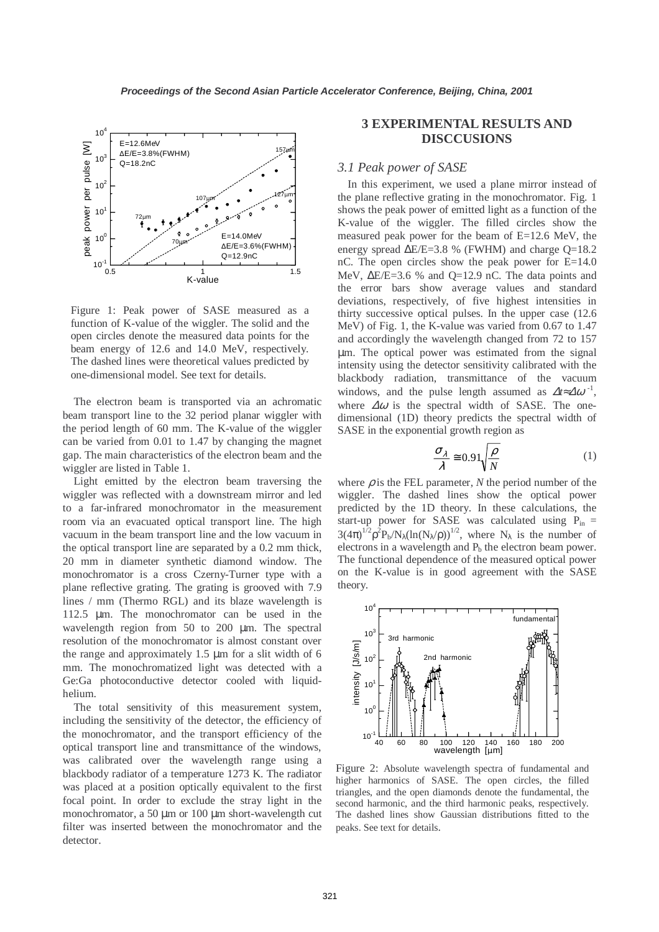

Figure 1: Peak power of SASE measured as a function of K-value of the wiggler. The solid and the open circles denote the measured data points for the beam energy of 12.6 and 14.0 MeV, respectively. The dashed lines were theoretical values predicted by one-dimensional model. See text for details.

The electron beam is transported via an achromatic beam transport line to the 32 period planar wiggler with the period length of 60 mm. The K-value of the wiggler can be varied from 0.01 to 1.47 by changing the magnet gap. The main characteristics of the electron beam and the wiggler are listed in Table 1.

Light emitted by the electron beam traversing the wiggler was reflected with a downstream mirror and led to a far-infrared monochromator in the measurement room via an evacuated optical transport line. The high vacuum in the beam transport line and the low vacuum in the optical transport line are separated by a 0.2 mm thick, 20 mm in diameter synthetic diamond window. The monochromator is a cross Czerny-Turner type with a plane reflective grating. The grating is grooved with 7.9 lines / mm (Thermo RGL) and its blaze wavelength is 112.5 µm. The monochromator can be used in the wavelength region from 50 to 200 µm. The spectral resolution of the monochromator is almost constant over the range and approximately  $1.5 \mu m$  for a slit width of 6 mm. The monochromatized light was detected with a Ge:Ga photoconductive detector cooled with liquidhelium.

The total sensitivity of this measurement system, including the sensitivity of the detector, the efficiency of the monochromator, and the transport efficiency of the optical transport line and transmittance of the windows, was calibrated over the wavelength range using a blackbody radiator of a temperature 1273 K. The radiator was placed at a position optically equivalent to the first focal point. In order to exclude the stray light in the monochromator, a 50 µm or 100 µm short-wavelength cut filter was inserted between the monochromator and the detector.

# **3 EXPERIMENTAL RESULTS AND DISCCUSIONS**

### *3.1 Peak power of SASE*

In this experiment, we used a plane mirror instead of the plane reflective grating in the monochromator. Fig. 1 shows the peak power of emitted light as a function of the K-value of the wiggler. The filled circles show the measured peak power for the beam of E=12.6 MeV, the energy spread ∆E/E=3.8 % (FWHM) and charge Q=18.2 nC. The open circles show the peak power for E=14.0 MeV, ∆E/E=3.6 % and Q=12.9 nC. The data points and the error bars show average values and standard deviations, respectively, of five highest intensities in thirty successive optical pulses. In the upper case (12.6 MeV) of Fig. 1, the K-value was varied from 0.67 to 1.47 and accordingly the wavelength changed from 72 to 157 µm. The optical power was estimated from the signal intensity using the detector sensitivity calibrated with the blackbody radiation, transmittance of the vacuum windows, and the pulse length assumed as ∆*t*≈∆ω -1, where  $\Delta\omega$  is the spectral width of SASE. The onedimensional (1D) theory predicts the spectral width of SASE in the exponential growth region as

$$
\frac{\sigma_{\lambda}}{\lambda} \approx 0.91 \sqrt{\frac{\rho}{N}}
$$
 (1)

where  $\rho$  is the FEL parameter, *N* the period number of the wiggler. The dashed lines show the optical power predicted by the 1D theory. In these calculations, the start-up power for SASE was calculated using  $P_{in}$  =  $3(4\pi)^{1/2} \rho^2 P_b/N_\lambda(\ln(N_\lambda/\rho))^{1/2}$ , where N<sub> $\lambda$ </sub> is the number of electrons in a wavelength and  $P<sub>b</sub>$  the electron beam power. The functional dependence of the measured optical power on the K-value is in good agreement with the SASE theory.



Figure 2: Absolute wavelength spectra of fundamental and higher harmonics of SASE. The open circles, the filled triangles, and the open diamonds denote the fundamental, the second harmonic, and the third harmonic peaks, respectively. The dashed lines show Gaussian distributions fitted to the peaks. See text for details.